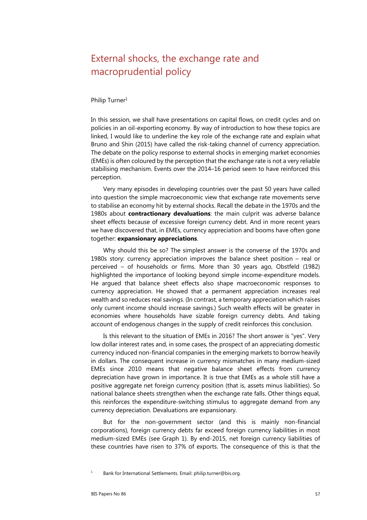# External shocks, the exchange rate and macroprudential policy

#### Philip Turner<sup>1</sup>

In this session, we shall have presentations on capital flows, on credit cycles and on policies in an oil-exporting economy. By way of introduction to how these topics are linked, I would like to underline the key role of the exchange rate and explain what Bruno and Shin (2015) have called the risk-taking channel of currency appreciation. The debate on the policy response to external shocks in emerging market economies (EMEs) is often coloured by the perception that the exchange rate is not a very reliable stabilising mechanism. Events over the 2014–16 period seem to have reinforced this perception.

Very many episodes in developing countries over the past 50 years have called into question the simple macroeconomic view that exchange rate movements serve to stabilise an economy hit by external shocks. Recall the debate in the 1970s and the 1980s about **contractionary devaluations**: the main culprit was adverse balance sheet effects because of excessive foreign currency debt. And in more recent years we have discovered that, in EMEs, currency appreciation and booms have often gone together: **expansionary appreciations**.

Why should this be so? The simplest answer is the converse of the 1970s and 1980s story: currency appreciation improves the balance sheet position – real or perceived – of households or firms. More than 30 years ago, Obstfeld (1982) highlighted the importance of looking beyond simple income-expenditure models. He argued that balance sheet effects also shape macroeconomic responses to currency appreciation. He showed that a permanent appreciation increases real wealth and so reduces real savings. (In contrast, a temporary appreciation which raises only current income should increase savings.) Such wealth effects will be greater in economies where households have sizable foreign currency debts. And taking account of endogenous changes in the supply of credit reinforces this conclusion.

Is this relevant to the situation of EMEs in 2016? The short answer is "yes". Very low dollar interest rates and, in some cases, the prospect of an appreciating domestic currency induced non-financial companies in the emerging markets to borrow heavily in dollars. The consequent increase in currency mismatches in many medium-sized EMEs since 2010 means that negative balance sheet effects from currency depreciation have grown in importance. It is true that EMEs as a whole still have a positive aggregate net foreign currency position (that is, assets minus liabilities). So national balance sheets strengthen when the exchange rate falls. Other things equal, this reinforces the expenditure-switching stimulus to aggregate demand from any currency depreciation. Devaluations are expansionary.

But for the non-government sector (and this is mainly non-financial corporations), foreign currency debts far exceed foreign currency liabilities in most medium-sized EMEs (see Graph 1). By end-2015, net foreign currency liabilities of these countries have risen to 37% of exports. The consequence of this is that the

1 Bank for International Settlements. Email: philip.turner@bis.org.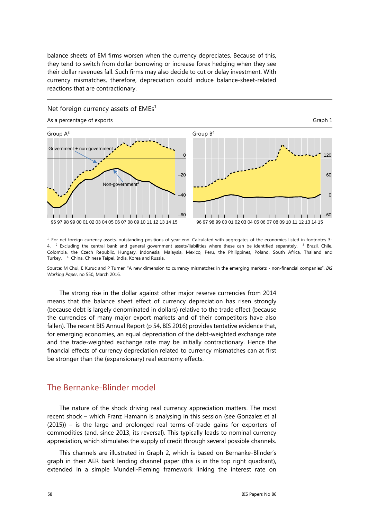balance sheets of EM firms worsen when the currency depreciates. Because of this, they tend to switch from dollar borrowing or increase forex hedging when they see their dollar revenues fall. Such firms may also decide to cut or delay investment. With currency mismatches, therefore, depreciation could induce balance-sheet-related reactions that are contractionary.

#### Net foreign currency assets of  $EMEs<sup>1</sup>$ As a percentage of exports Graph 1 Group  $A^3$  Group  $B^4$ Government + non-government 0  $-20$ Non-government<sup>2</sup>  $\overline{a}$ –60 –60 - 11 - 11  $\perp$ - 1  $1 - 1 - 1 - 1$  $-1$   $-1$   $-1$   $-1$ J.  $\blacksquare$ - 1 . . . . . . 96 97 98 99 00 01 02 03 04 05 06 07 08 09 10 11 12 13 14 15 96 97 98 99 00 01 02 03 04 05 06 07 08 09 10 11 12 13 14 15

1 For net foreign currency assets, outstanding positions of year-end. Calculated with aggregates of the economies listed in footnotes 3- 4. <sup>2</sup> Excluding the central bank and general government assets/liabilities where these can be identified separately. <sup>3</sup> Brazil, Chile, Colombia, the Czech Republic, Hungary, Indonesia, Malaysia, Mexico, Peru, the Philippines, Poland, South Africa, Thailand and Turkey. 4 China, Chinese Taipei, India, Korea and Russia.

Source: M Chui, E Kuruc and P Turner: "A new dimension to currency mismatches in the emerging markets - non-financial companies", *BIS Working Paper,* no 550, March 2016.

The strong rise in the dollar against other major reserve currencies from 2014 means that the balance sheet effect of currency depreciation has risen strongly (because debt is largely denominated in dollars) relative to the trade effect (because the currencies of many major export markets and of their competitors have also fallen). The recent BIS Annual Report (p 54, BIS 2016) provides tentative evidence that, for emerging economies, an equal depreciation of the debt-weighted exchange rate and the trade-weighted exchange rate may be initially contractionary. Hence the financial effects of currency depreciation related to currency mismatches can at first be stronger than the (expansionary) real economy effects.

### The Bernanke-Blinder model

The nature of the shock driving real currency appreciation matters. The most recent shock – which Franz Hamann is analysing in this session (see Gonzalez et al (2015)) – is the large and prolonged real terms-of-trade gains for exporters of commodities (and, since 2013, its reversal). This typically leads to nominal currency appreciation, which stimulates the supply of credit through several possible channels.

This channels are illustrated in Graph 2, which is based on Bernanke-Blinder's graph in their AER bank lending channel paper (this is in the top right quadrant), extended in a simple Mundell-Fleming framework linking the interest rate on  $\Omega$ 

60

120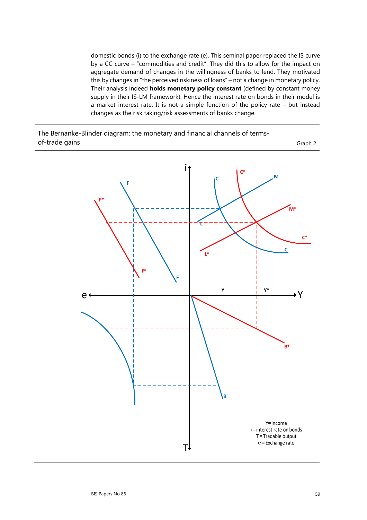domestic bonds (i) to the exchange rate (e). This seminal paper replaced the IS curve by a CC curve – "commodities and credit". They did this to allow for the impact on aggregate demand of changes in the willingness of banks to lend. They motivated this by changes in "the perceived riskiness of loans" – not a change in monetary policy. Their analysis indeed **holds monetary policy constant** (defined by constant money supply in their IS-LM framework). Hence the interest rate on bonds in their model is a market interest rate. It is not a simple function of the policy rate – but instead changes as the risk taking/risk assessments of banks change.



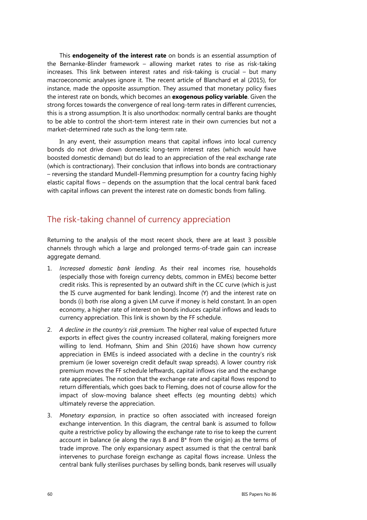This **endogeneity of the interest rate** on bonds is an essential assumption of the Bernanke-Blinder framework – allowing market rates to rise as risk-taking increases. This link between interest rates and risk-taking is crucial – but many macroeconomic analyses ignore it. The recent article of Blanchard et al (2015), for instance, made the opposite assumption. They assumed that monetary policy fixes the interest rate on bonds, which becomes an **exogenous policy variable**. Given the strong forces towards the convergence of real long-term rates in different currencies, this is a strong assumption. It is also unorthodox: normally central banks are thought to be able to control the short-term interest rate in their own currencies but not a market-determined rate such as the long-term rate.

In any event, their assumption means that capital inflows into local currency bonds do not drive down domestic long-term interest rates (which would have boosted domestic demand) but do lead to an appreciation of the real exchange rate (which is contractionary). Their conclusion that inflows into bonds are contractionary – reversing the standard Mundell-Flemming presumption for a country facing highly elastic capital flows – depends on the assumption that the local central bank faced with capital inflows can prevent the interest rate on domestic bonds from falling.

## The risk-taking channel of currency appreciation

Returning to the analysis of the most recent shock, there are at least 3 possible channels through which a large and prolonged terms-of-trade gain can increase aggregate demand.

- 1. *Increased domestic bank lending.* As their real incomes rise, households (especially those with foreign currency debts, common in EMEs) become better credit risks. This is represented by an outward shift in the CC curve (which is just the IS curve augmented for bank lending). Income (Y) and the interest rate on bonds (i) both rise along a given LM curve if money is held constant. In an open economy, a higher rate of interest on bonds induces capital inflows and leads to currency appreciation. This link is shown by the FF schedule.
- 2. *A decline in the country's risk premium.* The higher real value of expected future exports in effect gives the country increased collateral, making foreigners more willing to lend. Hofmann, Shim and Shin (2016) have shown how currency appreciation in EMEs is indeed associated with a decline in the country's risk premium (ie lower sovereign credit default swap spreads). A lower country risk premium moves the FF schedule leftwards, capital inflows rise and the exchange rate appreciates. The notion that the exchange rate and capital flows respond to return differentials, which goes back to Fleming, does not of course allow for the impact of slow-moving balance sheet effects (eg mounting debts) which ultimately reverse the appreciation.
- 3. *Monetary expansion*, in practice so often associated with increased foreign exchange intervention. In this diagram, the central bank is assumed to follow quite a restrictive policy by allowing the exchange rate to rise to keep the current account in balance (ie along the rays B and  $B*$  from the origin) as the terms of trade improve. The only expansionary aspect assumed is that the central bank intervenes to purchase foreign exchange as capital flows increase. Unless the central bank fully sterilises purchases by selling bonds, bank reserves will usually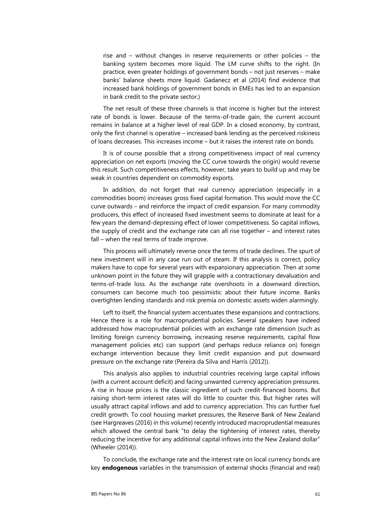rise and – without changes in reserve requirements or other policies – the banking system becomes more liquid. The LM curve shifts to the right. (In practice, even greater holdings of government bonds – not just reserves – make banks' balance sheets more liquid. Gadanecz et al (2014) find evidence that increased bank holdings of government bonds in EMEs has led to an expansion in bank credit to the private sector.)

The net result of these three channels is that income is higher but the interest rate of bonds is lower. Because of the terms-of-trade gain, the current account remains in balance at a higher level of real GDP. In a closed economy, by contrast, only the first channel is operative – increased bank lending as the perceived riskiness of loans decreases. This increases income – but it raises the interest rate on bonds.

It is of course possible that a strong competitiveness impact of real currency appreciation on net exports (moving the CC curve towards the origin) would reverse this result. Such competitiveness effects, however, take years to build up and may be weak in countries dependent on commodity exports.

In addition, do not forget that real currency appreciation (especially in a commodities boom) increases gross fixed capital formation. This would move the CC curve outwards – and reinforce the impact of credit expansion. For many commodity producers, this effect of increased fixed investment seems to dominate at least for a few years the demand-depressing effect of lower competitiveness. So capital inflows, the supply of credit and the exchange rate can all rise together – and interest rates fall – when the real terms of trade improve.

This process will ultimately reverse once the terms of trade declines. The spurt of new investment will in any case run out of steam. If this analysis is correct, policy makers have to cope for several years with expansionary appreciation. Then at some unknown point in the future they will grapple with a contractionary devaluation and terms-of-trade loss. As the exchange rate overshoots in a downward direction, consumers can become much too pessimistic about their future income. Banks overtighten lending standards and risk premia on domestic assets widen alarmingly.

Left to itself, the financial system accentuates these expansions and contractions. Hence there is a role for macroprudential policies. Several speakers have indeed addressed how macroprudential policies with an exchange rate dimension (such as limiting foreign currency borrowing, increasing reserve requirements, capital flow management policies etc) can support (and perhaps reduce reliance on) foreign exchange intervention because they limit credit expansion and put downward pressure on the exchange rate (Pereira da Silva and Harris (2012)).

This analysis also applies to industrial countries receiving large capital inflows (with a current account deficit) and facing unwanted currency appreciation pressures. A rise in house prices is the classic ingredient of such credit-financed booms. But raising short-term interest rates will do little to counter this. But higher rates will usually attract capital inflows and add to currency appreciation. This can further fuel credit growth. To cool housing market pressures, the Reserve Bank of New Zealand (see Hargreaves (2016) in this volume) recently introduced macroprudential measures which allowed the central bank "to delay the tightening of interest rates, thereby reducing the incentive for any additional capital inflows into the New Zealand dollar" (Wheeler (2014)).

To conclude, the exchange rate and the interest rate on local currency bonds are key **endogenous** variables in the transmission of external shocks (financial and real)